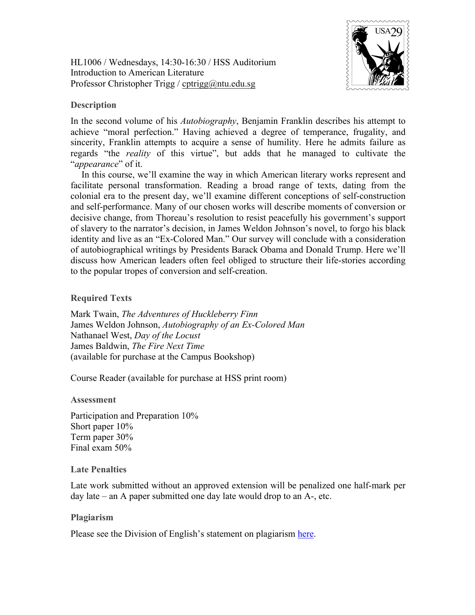HL1006 / Wednesdays, 14:30-16:30 / HSS Auditorium Introduction to American Literature Professor Christopher Trigg / cptrigg@ntu.edu.sg



# **Description**

In the second volume of his *Autobiography*, Benjamin Franklin describes his attempt to achieve "moral perfection." Having achieved a degree of temperance, frugality, and sincerity, Franklin attempts to acquire a sense of humility. Here he admits failure as regards "the *reality* of this virtue", but adds that he managed to cultivate the "*appearance*" of it.

In this course, we'll examine the way in which American literary works represent and facilitate personal transformation. Reading a broad range of texts, dating from the colonial era to the present day, we'll examine different conceptions of self-construction and self-performance. Many of our chosen works will describe moments of conversion or decisive change, from Thoreau's resolution to resist peacefully his government's support of slavery to the narrator's decision, in James Weldon Johnson's novel, to forgo his black identity and live as an "Ex-Colored Man." Our survey will conclude with a consideration of autobiographical writings by Presidents Barack Obama and Donald Trump. Here we'll discuss how American leaders often feel obliged to structure their life-stories according to the popular tropes of conversion and self-creation.

### **Required Texts**

Mark Twain, *The Adventures of Huckleberry Finn* James Weldon Johnson, *Autobiography of an Ex-Colored Man* Nathanael West, *Day of the Locust* James Baldwin, *The Fire Next Time* (available for purchase at the Campus Bookshop)

Course Reader (available for purchase at HSS print room)

#### **Assessment**

Participation and Preparation 10% Short paper 10% Term paper 30% Final exam 50%

#### **Late Penalties**

Late work submitted without an approved extension will be penalized one half-mark per day late – an A paper submitted one day late would drop to an A-, etc.

## **Plagiarism**

Please see the Division of English's statement on plagiarism here.